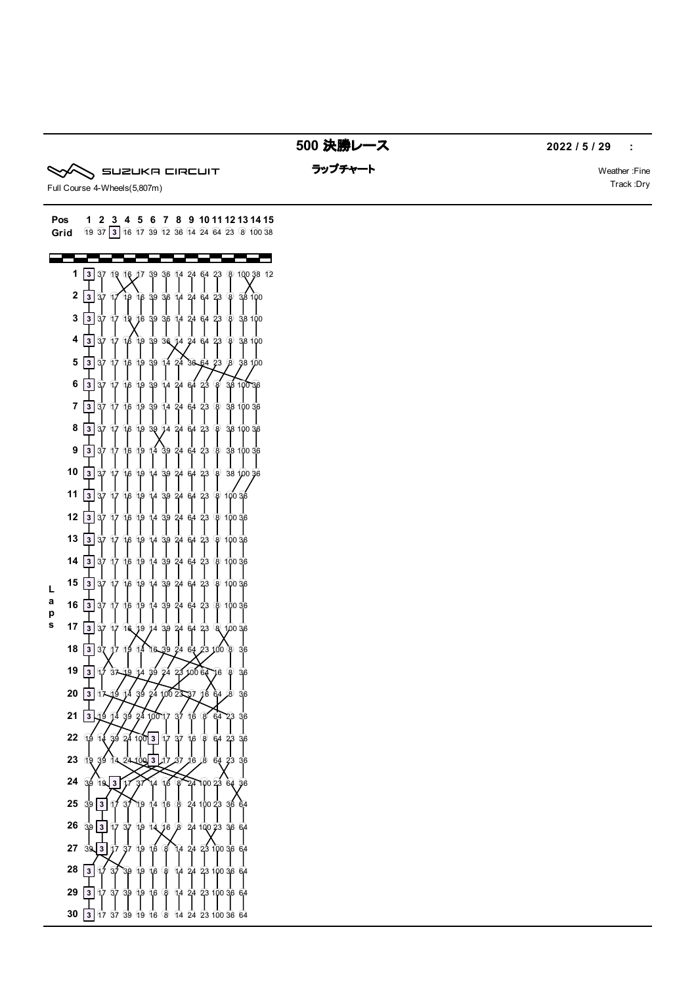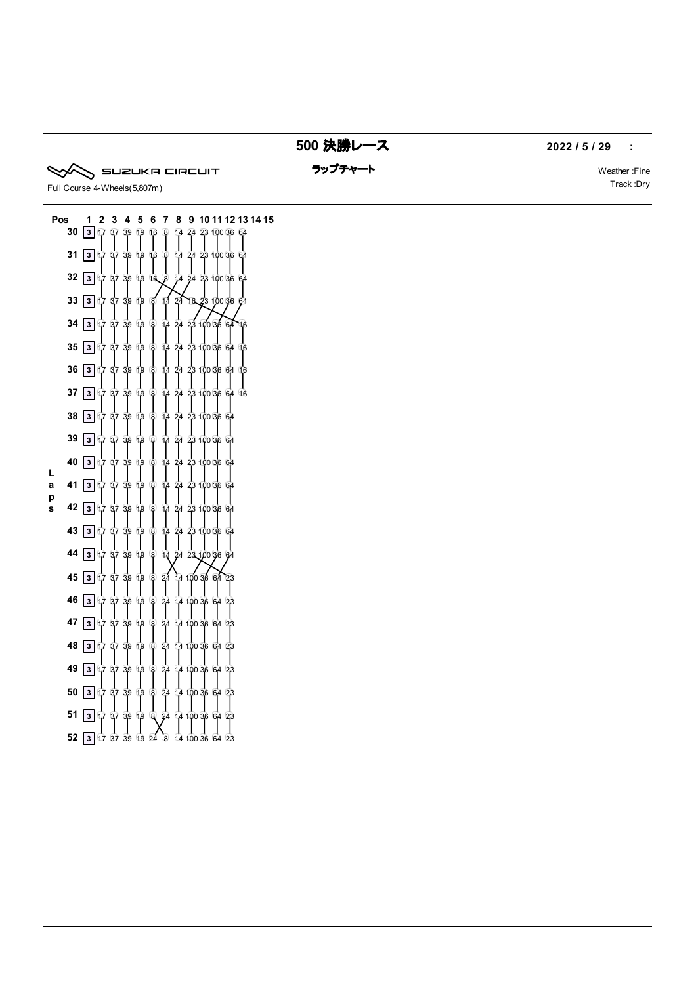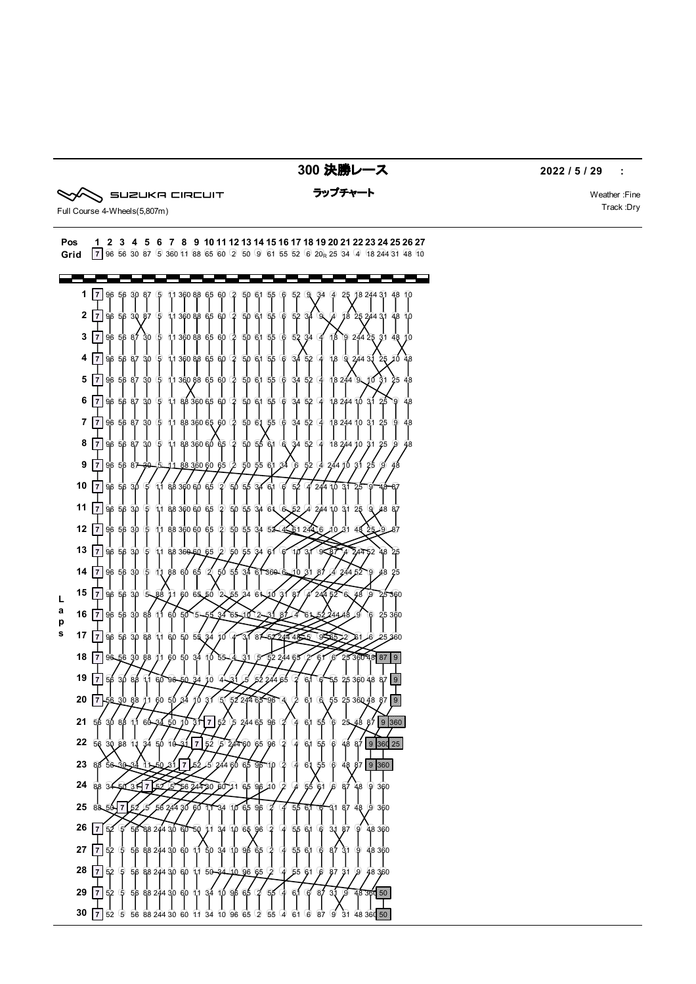